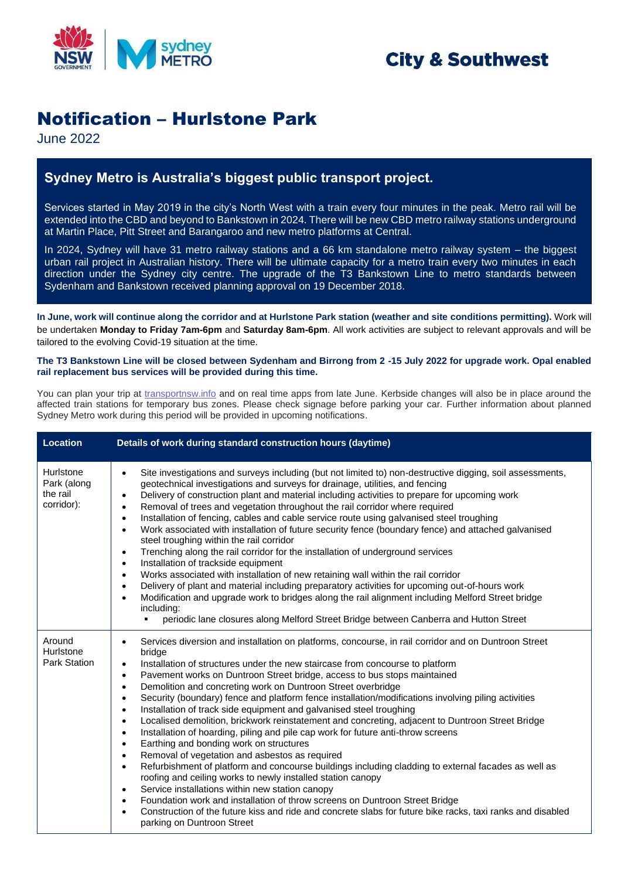

# **City & Southwest**

## Notification – Hurlstone Park

June 2022

## **Sydney Metro is Australia's biggest public transport project.**

Services started in May 2019 in the city's North West with a train every four minutes in the peak. Metro rail will be extended into the CBD and beyond to Bankstown in 2024. There will be new CBD metro railway stations underground at Martin Place, Pitt Street and Barangaroo and new metro platforms at Central.

In 2024, Sydney will have 31 metro railway stations and a 66 km standalone metro railway system – the biggest urban rail project in Australian history. There will be ultimate capacity for a metro train every two minutes in each direction under the Sydney city centre. The upgrade of the T3 Bankstown Line to metro standards between Sydenham and Bankstown received planning approval on 19 December 2018.

**In June, work will continue along the corridor and at Hurlstone Park station (weather and site conditions permitting).** Work will be undertaken **Monday to Friday 7am-6pm** and **Saturday 8am-6pm**. All work activities are subject to relevant approvals and will be tailored to the evolving Covid-19 situation at the time.

#### **The T3 Bankstown Line will be closed between Sydenham and Birrong from 2 -15 July 2022 for upgrade work. Opal enabled rail replacement bus services will be provided during this time.**

You can plan your trip at [transportnsw.info](https://transportnsw.info/) and on real time apps from late June. Kerbside changes will also be in place around the affected train stations for temporary bus zones. Please check signage before parking your car. Further information about planned Sydney Metro work during this period will be provided in upcoming notifications.

| <b>Location</b>                                    | Details of work during standard construction hours (daytime)                                                                                                                                                                                                                                                                                                                                                                                                                                                                                                                                                                                                                                                                                                                                                                                                                                                                                                                                                                                                                                                                                                                                                                                                                                                                                                                                                                   |
|----------------------------------------------------|--------------------------------------------------------------------------------------------------------------------------------------------------------------------------------------------------------------------------------------------------------------------------------------------------------------------------------------------------------------------------------------------------------------------------------------------------------------------------------------------------------------------------------------------------------------------------------------------------------------------------------------------------------------------------------------------------------------------------------------------------------------------------------------------------------------------------------------------------------------------------------------------------------------------------------------------------------------------------------------------------------------------------------------------------------------------------------------------------------------------------------------------------------------------------------------------------------------------------------------------------------------------------------------------------------------------------------------------------------------------------------------------------------------------------------|
| Hurlstone<br>Park (along<br>the rail<br>corridor): | Site investigations and surveys including (but not limited to) non-destructive digging, soil assessments,<br>$\bullet$<br>geotechnical investigations and surveys for drainage, utilities, and fencing<br>Delivery of construction plant and material including activities to prepare for upcoming work<br>$\bullet$<br>Removal of trees and vegetation throughout the rail corridor where required<br>$\bullet$<br>Installation of fencing, cables and cable service route using galvanised steel troughing<br>$\bullet$<br>Work associated with installation of future security fence (boundary fence) and attached galvanised<br>$\bullet$<br>steel troughing within the rail corridor<br>Trenching along the rail corridor for the installation of underground services<br>$\bullet$<br>Installation of trackside equipment<br>$\bullet$<br>Works associated with installation of new retaining wall within the rail corridor<br>$\bullet$<br>Delivery of plant and material including preparatory activities for upcoming out-of-hours work<br>$\bullet$<br>Modification and upgrade work to bridges along the rail alignment including Melford Street bridge<br>$\bullet$<br>including:<br>periodic lane closures along Melford Street Bridge between Canberra and Hutton Street                                                                                                                                         |
| Around<br>Hurlstone<br><b>Park Station</b>         | Services diversion and installation on platforms, concourse, in rail corridor and on Duntroon Street<br>bridge<br>Installation of structures under the new staircase from concourse to platform<br>$\bullet$<br>Pavement works on Duntroon Street bridge, access to bus stops maintained<br>$\bullet$<br>Demolition and concreting work on Duntroon Street overbridge<br>$\bullet$<br>Security (boundary) fence and platform fence installation/modifications involving piling activities<br>$\bullet$<br>Installation of track side equipment and galvanised steel troughing<br>$\bullet$<br>Localised demolition, brickwork reinstatement and concreting, adjacent to Duntroon Street Bridge<br>$\bullet$<br>Installation of hoarding, piling and pile cap work for future anti-throw screens<br>$\bullet$<br>Earthing and bonding work on structures<br>$\bullet$<br>Removal of vegetation and asbestos as required<br>$\bullet$<br>Refurbishment of platform and concourse buildings including cladding to external facades as well as<br>$\bullet$<br>roofing and ceiling works to newly installed station canopy<br>Service installations within new station canopy<br>$\bullet$<br>Foundation work and installation of throw screens on Duntroon Street Bridge<br>$\bullet$<br>Construction of the future kiss and ride and concrete slabs for future bike racks, taxi ranks and disabled<br>parking on Duntroon Street |